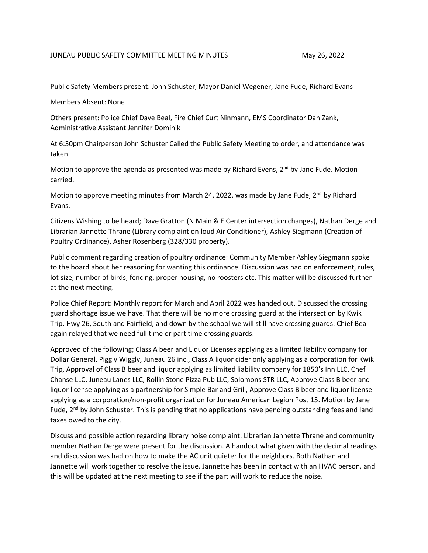## JUNEAU PUBLIC SAFETY COMMITTEE MEETING MINUTES MAN 26, 2022

Public Safety Members present: John Schuster, Mayor Daniel Wegener, Jane Fude, Richard Evans

Members Absent: None

Others present: Police Chief Dave Beal, Fire Chief Curt Ninmann, EMS Coordinator Dan Zank, Administrative Assistant Jennifer Dominik

At 6:30pm Chairperson John Schuster Called the Public Safety Meeting to order, and attendance was taken.

Motion to approve the agenda as presented was made by Richard Evens,  $2^{nd}$  by Jane Fude. Motion carried.

Motion to approve meeting minutes from March 24, 2022, was made by Jane Fude, 2<sup>nd</sup> by Richard Evans.

Citizens Wishing to be heard; Dave Gratton (N Main & E Center intersection changes), Nathan Derge and Librarian Jannette Thrane (Library complaint on loud Air Conditioner), Ashley Siegmann (Creation of Poultry Ordinance), Asher Rosenberg (328/330 property).

Public comment regarding creation of poultry ordinance: Community Member Ashley Siegmann spoke to the board about her reasoning for wanting this ordinance. Discussion was had on enforcement, rules, lot size, number of birds, fencing, proper housing, no roosters etc. This matter will be discussed further at the next meeting.

Police Chief Report: Monthly report for March and April 2022 was handed out. Discussed the crossing guard shortage issue we have. That there will be no more crossing guard at the intersection by Kwik Trip. Hwy 26, South and Fairfield, and down by the school we will still have crossing guards. Chief Beal again relayed that we need full time or part time crossing guards.

Approved of the following; Class A beer and Liquor Licenses applying as a limited liability company for Dollar General, Piggly Wiggly, Juneau 26 inc., Class A liquor cider only applying as a corporation for Kwik Trip, Approval of Class B beer and liquor applying as limited liability company for 1850's Inn LLC, Chef Chanse LLC, Juneau Lanes LLC, Rollin Stone Pizza Pub LLC, Solomons STR LLC, Approve Class B beer and liquor license applying as a partnership for Simple Bar and Grill, Approve Class B beer and liquor license applying as a corporation/non-profit organization for Juneau American Legion Post 15. Motion by Jane Fude,  $2<sup>nd</sup>$  by John Schuster. This is pending that no applications have pending outstanding fees and land taxes owed to the city.

Discuss and possible action regarding library noise complaint: Librarian Jannette Thrane and community member Nathan Derge were present for the discussion. A handout what given with the decimal readings and discussion was had on how to make the AC unit quieter for the neighbors. Both Nathan and Jannette will work together to resolve the issue. Jannette has been in contact with an HVAC person, and this will be updated at the next meeting to see if the part will work to reduce the noise.